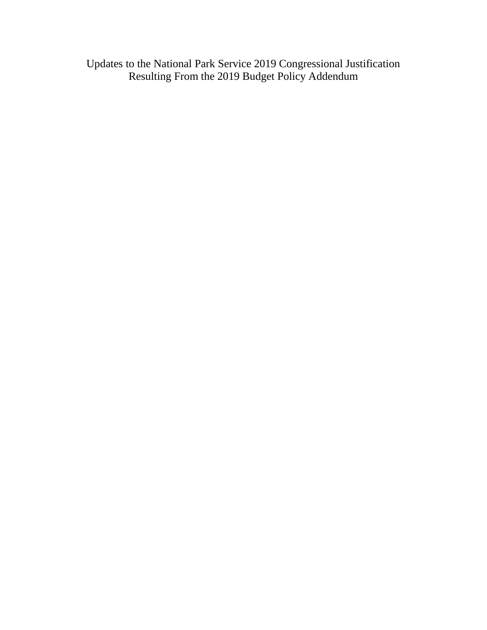Updates to the National Park Service 2019 Congressional Justification Resulting From the 2019 Budget Policy Addendum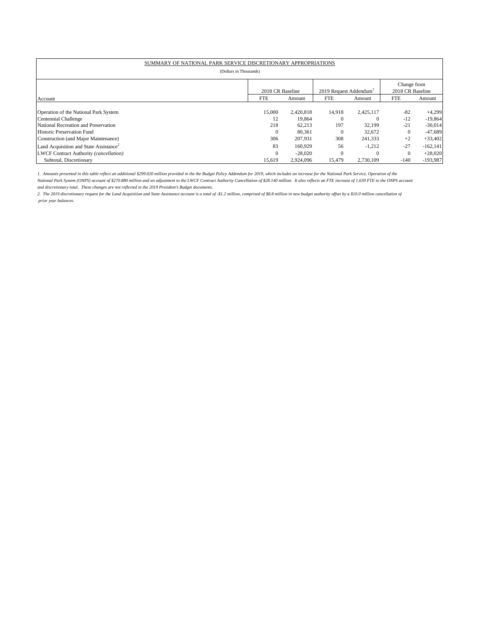| SUMMARY OF NATIONAL PARK SERVICE DISCRETIONARY APPROPRIATIONS      |                  |                     |                                    |                       |                                 |                        |  |  |  |  |
|--------------------------------------------------------------------|------------------|---------------------|------------------------------------|-----------------------|---------------------------------|------------------------|--|--|--|--|
| (Dollars in Thousands)                                             |                  |                     |                                    |                       |                                 |                        |  |  |  |  |
|                                                                    | 2018 CR Baseline |                     | 2019 Request Addendum <sup>1</sup> |                       | Change from<br>2018 CR Baseline |                        |  |  |  |  |
| Account                                                            | <b>FTE</b>       | Amount              | <b>FTE</b>                         | Amount                | <b>FTE</b>                      | Amount                 |  |  |  |  |
| Operation of the National Park System<br>Centennial Challenge      | 15,000<br>12     | 2,420,818<br>19.864 | 14,918<br>$\mathbf{0}$             | 2,425,117<br>$\Omega$ | $-82$<br>$-12$                  | $+4,299$<br>$-19,864$  |  |  |  |  |
| National Recreation and Preservation<br>Historic Preservation Fund | 218<br>$\Omega$  | 62,213<br>80,361    | 197<br>$\Omega$                    | 32,199<br>32,672      | $-21$<br>$\mathbf{0}$           | $-30,014$<br>$-47,689$ |  |  |  |  |
| Construction (and Major Maintenance)                               | 306              | 207.931             | 308                                | 241,333               | $+2$                            | $+33,402$              |  |  |  |  |
| Land Acquisition and State Assistance <sup>2</sup>                 | 83               | 160,929             | 56                                 | $-1,212$              | $-27$                           | $-162,141$             |  |  |  |  |
| <b>LWCF Contract Authority (cancellation)</b>                      | $\Omega$         | $-28,020$           |                                    | $\Omega$              | $\mathbf{0}$                    | $+28,020$              |  |  |  |  |
| Subtotal, Discretionary                                            | 15.619           | 2.924.096           | 15,479                             | 2,730,109             | $-140$                          | $-193,987$             |  |  |  |  |

*1. Amounts presented in this table reflect an additional \$299.020 million provided in the the Budget Policy Addendum for 2019, which includes an increase for the National Park Service, Operation of the*  National Park System (ONPS) account of \$270.880 million and an adjustment to the LWCF Contract Authority Cancellation of \$28.140 million. It also reflects an FTE increase of 1,639 FTE to the ONPS account

*and discretionary total. These changes are not reflected in the 2019 President's Budget documents.*

*2. The 2019 discretionary request for the Land Acquisition and State Assistance account is a total of -\$1.2 million, comprised of \$8.8 million in new budget authority offset by a \$10.0 million cancellation of prior year balances.*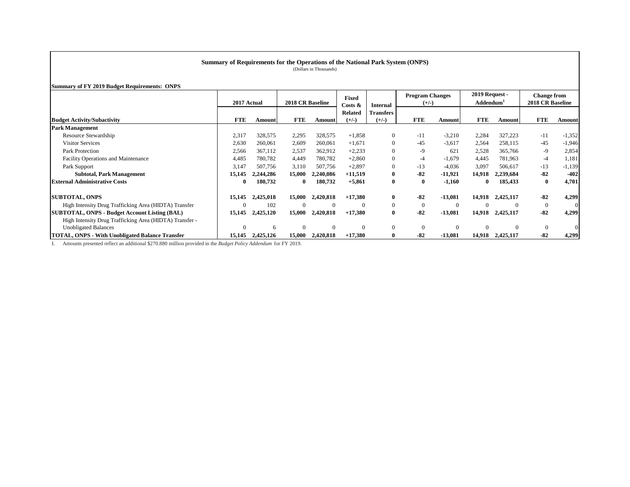# **Summary of Requirements for the Operations of the National Park System (ONPS)**<br>
(Dollars in Thousands)

#### **Summary of FY 2019 Budget Requirements: ONPS**

|                                                         | 2017 Actual |               |            | <b>2018 CR Baseline</b> |                                      | <b>Internal</b>             | <b>Program Changes</b><br>$(+/-)$ |               | <b>2019 Request -</b><br>Addendum <sup>1</sup> |           | <b>Change from</b><br>2018 CR Baseline |                |
|---------------------------------------------------------|-------------|---------------|------------|-------------------------|--------------------------------------|-----------------------------|-----------------------------------|---------------|------------------------------------------------|-----------|----------------------------------------|----------------|
| <b>Budget Activity/Subactivity</b>                      | <b>FTE</b>  | <b>Amount</b> | <b>FTE</b> | Amount                  | Costs &<br><b>Related</b><br>$(+/-)$ | <b>Transfers</b><br>$(+/-)$ | <b>FTE</b>                        | <b>Amount</b> | <b>FTE</b>                                     | Amount    | <b>FTE</b>                             | <b>Amount</b>  |
| <b>Park Management</b>                                  |             |               |            |                         |                                      |                             |                                   |               |                                                |           |                                        |                |
| Resource Stewardship                                    | 2,317       | 328,575       | 2,295      | 328,575                 | $+1,858$                             | $\overline{0}$              | $-11$                             | $-3,210$      | 2,284                                          | 327,223   | $-11$                                  | $-1,352$       |
| <b>Visitor Services</b>                                 | 2,630       | 260,061       | 2,609      | 260,061                 | $+1,671$                             | $\overline{0}$              | $-45$                             | $-3,617$      | 2,564                                          | 258,115   | $-45$                                  | $-1,946$       |
| Park Protection                                         | 2,566       | 367,112       | 2,537      | 362,912                 | $+2,233$                             | $\overline{0}$              | $-9$                              | 621           | 2,528                                          | 365,766   | $-9$                                   | 2,854          |
| Facility Operations and Maintenance                     | 4,485       | 780,782       | 4,449      | 780,782                 | $+2,860$                             | $\overline{0}$              | $-4$                              | $-1,679$      | 4,445                                          | 781,963   | $-4$                                   | 1,181          |
| Park Support                                            | 3,147       | 507,756       | 3,110      | 507,756                 | $+2,897$                             | $\overline{0}$              | $-13$                             | $-4,036$      | 3,097                                          | 506.617   | $-13$                                  | $-1,139$       |
| <b>Subtotal, Park Management</b>                        | 15,145      | 2,244,286     | 15,000     | 2.240.086               | $+11,519$                            | $\bf{0}$                    | $-82$                             | $-11,921$     | 14.918                                         | 2,239,684 | $-82$                                  | $-402$         |
| <b>External Administrative Costs</b>                    | O           | 180,732       |            | 180,732                 | $+5,861$                             | $\bf{0}$                    | $\mathbf{0}$                      | $-1,160$      | 0                                              | 185,433   | $\bf{0}$                               | 4,701          |
| <b>ISUBTOTAL, ONPS</b>                                  | 15,145      | 2.425,018     | 15,000     | 2,420,818               | $+17,380$                            | $\bf{0}$                    | $-82$                             | $-13,081$     | 14.918                                         | 2,425,117 | $-82$                                  | 4,299          |
| High Intensity Drug Trafficking Area (HIDTA) Transfer   |             | 102           |            | $\Omega$                | $\mathbf{0}$                         | $\theta$                    | $\overline{0}$                    | $\Omega$      | $\Omega$                                       |           | $\theta$                               | $\overline{0}$ |
| SUBTOTAL, ONPS - Budget Account Listing (BAL)           | 15,145      | 2,425,120     | 15,000     | 2,420,818               | $+17,380$                            | $\bf{0}$                    | $-82$                             | $-13,081$     | 14,918                                         | 2,425,117 | $-82$                                  | 4,299          |
| High Intensity Drug Trafficking Area (HIDTA) Transfer - |             |               |            |                         |                                      |                             |                                   |               |                                                |           |                                        |                |
| <b>Unobligated Balances</b>                             |             | 6             |            | $\Omega$                | $\Omega$                             | $\Omega$                    | $\Omega$                          |               | $\Omega$                                       |           | $\Omega$                               | $\Omega$       |
| TOTAL, ONPS - With Unobligated Balance Transfer         | 15,145      | 2,425,126     | 15.000     | 2,420,818               | $+17,380$                            | $\mathbf{0}$                | $-82$                             | $-13,081$     | 14.918                                         | 2,425,117 | $-82$                                  | 4,299          |

1. Amounts presented reflect an additional \$270.880 million provided in the *Budget Policy Addendum* for FY 2019.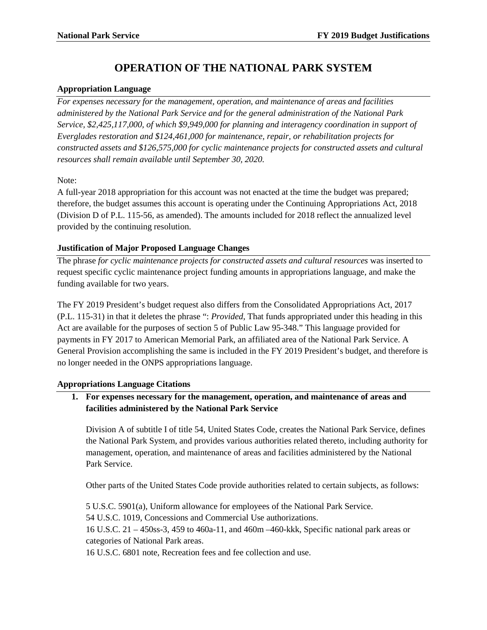# **OPERATION OF THE NATIONAL PARK SYSTEM**

#### **Appropriation Language**

*For expenses necessary for the management, operation, and maintenance of areas and facilities administered by the National Park Service and for the general administration of the National Park Service, \$2,425,117,000, of which \$9,949,000 for planning and interagency coordination in support of Everglades restoration and \$124,461,000 for maintenance, repair, or rehabilitation projects for constructed assets and \$126,575,000 for cyclic maintenance projects for constructed assets and cultural resources shall remain available until September 30, 2020.*

Note:

A full-year 2018 appropriation for this account was not enacted at the time the budget was prepared; therefore, the budget assumes this account is operating under the Continuing Appropriations Act, 2018 (Division D of P.L. 115-56, as amended). The amounts included for 2018 reflect the annualized level provided by the continuing resolution.

#### **Justification of Major Proposed Language Changes**

The phrase *for cyclic maintenance projects for constructed assets and cultural resources* was inserted to request specific cyclic maintenance project funding amounts in appropriations language, and make the funding available for two years.

The FY 2019 President's budget request also differs from the Consolidated Appropriations Act, 2017 (P.L. 115-31) in that it deletes the phrase ": *Provided*, That funds appropriated under this heading in this Act are available for the purposes of section 5 of Public Law 95-348." This language provided for payments in FY 2017 to American Memorial Park, an affiliated area of the National Park Service. A General Provision accomplishing the same is included in the FY 2019 President's budget, and therefore is no longer needed in the ONPS appropriations language.

### **Appropriations Language Citations**

**1. For expenses necessary for the management, operation, and maintenance of areas and facilities administered by the National Park Service**

Division A of subtitle I of title 54, United States Code, creates the National Park Service, defines the National Park System, and provides various authorities related thereto, including authority for management, operation, and maintenance of areas and facilities administered by the National Park Service.

Other parts of the United States Code provide authorities related to certain subjects, as follows:

5 U.S.C. 5901(a), Uniform allowance for employees of the National Park Service. 54 U.S.C. 1019, Concessions and Commercial Use authorizations. 16 U.S.C. 21 – 450ss-3, 459 to 460a-11, and 460m –460-kkk, Specific national park areas or categories of National Park areas.

16 U.S.C. 6801 note, Recreation fees and fee collection and use.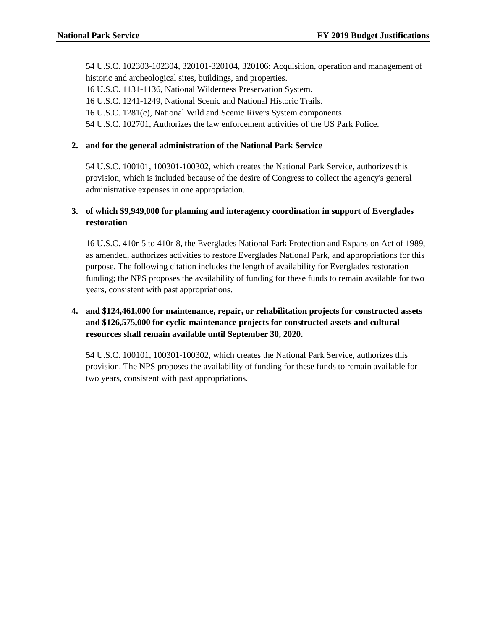54 U.S.C. 102303-102304, 320101-320104, 320106: Acquisition, operation and management of historic and archeological sites, buildings, and properties. 16 U.S.C. 1131-1136, National Wilderness Preservation System. 16 U.S.C. 1241-1249, National Scenic and National Historic Trails. 16 U.S.C. 1281(c), National Wild and Scenic Rivers System components. 54 U.S.C. 102701, Authorizes the law enforcement activities of the US Park Police.

#### **2. and for the general administration of the National Park Service**

54 U.S.C. 100101, 100301-100302, which creates the National Park Service, authorizes this provision, which is included because of the desire of Congress to collect the agency's general administrative expenses in one appropriation.

## **3. of which \$9,949,000 for planning and interagency coordination in support of Everglades restoration**

16 U.S.C. 410r-5 to 410r-8, the Everglades National Park Protection and Expansion Act of 1989, as amended, authorizes activities to restore Everglades National Park, and appropriations for this purpose. The following citation includes the length of availability for Everglades restoration funding; the NPS proposes the availability of funding for these funds to remain available for two years, consistent with past appropriations.

## **4. and \$124,461,000 for maintenance, repair, or rehabilitation projects for constructed assets and \$126,575,000 for cyclic maintenance projects for constructed assets and cultural resources shall remain available until September 30, 2020.**

54 U.S.C. 100101, 100301-100302, which creates the National Park Service, authorizes this provision. The NPS proposes the availability of funding for these funds to remain available for two years, consistent with past appropriations.